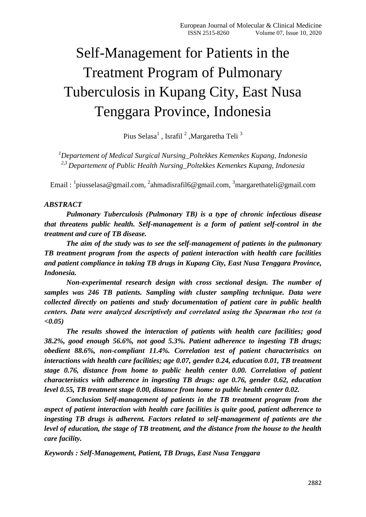# Self-Management for Patients in the Treatment Program of Pulmonary Tuberculosis in Kupang City, East Nusa Tenggara Province, Indonesia

Pius Selasa<sup>1</sup> , Israfil <sup>2</sup> ,Margaretha Teli <sup>3</sup>

*<sup>1</sup>Departement of Medical Surgical Nursing\_Poltekkes Kemenkes Kupang, Indonesia 2,3 Departement of Public Health Nursing\_Poltekkes Kemenkes Kupang, Indonesia*

Email:  $\frac{1}{2}$ [piusselasa@gmail.com,](mailto:piusselasa@gmail.com)  $\frac{2}{3}$ [ahmadisrafil6@gmail.com,](mailto:ahmadisrafil6@gmail.com)  $\frac{3}{3}$ [margarethateli@gmail.com](mailto:3margarethateli@gmail.com)

### *ABSTRACT*

*Pulmonary Tuberculosis (Pulmonary TB) is a type of chronic infectious disease that threatens public health. Self-management is a form of patient self-control in the treatment and cure of TB disease.*

*The aim of the study was to see the self-management of patients in the pulmonary TB treatment program from the aspects of patient interaction with health care facilities and patient compliance in taking TB drugs in Kupang City, East Nusa Tenggara Province, Indonesia.*

*Non-experimental research design with cross sectional design. The number of samples was 246 TB patients. Sampling with cluster sampling technique. Data were collected directly on patients and study documentation of patient care in public health centers. Data were analyzed descriptively and correlated using the Spearman rho test (α <0.05)*

*The results showed the interaction of patients with health care facilities; good 38.2%, good enough 56.6%, not good 5.3%. Patient adherence to ingesting TB drugs; obedient 88.6%, non-compliant 11.4%. Correlation test of patient characteristics on interactions with health care facilities; age 0.07, gender 0.24, education 0.01, TB treatment stage 0.76, distance from home to public health center 0.00. Correlation of patient characteristics with adherence in ingesting TB drugs: age 0.76, gender 0.62, education level 0.55, TB treatment stage 0.00, distance from home to public health center 0.02.*

*Conclusion Self-management of patients in the TB treatment program from the aspect of patient interaction with health care facilities is quite good, patient adherence to ingesting TB drugs is adherent. Factors related to self-management of patients are the level of education, the stage of TB treatment, and the distance from the house to the health care facility.*

*Keywords : Self-Management, Patient, TB Drugs, East Nusa Tenggara*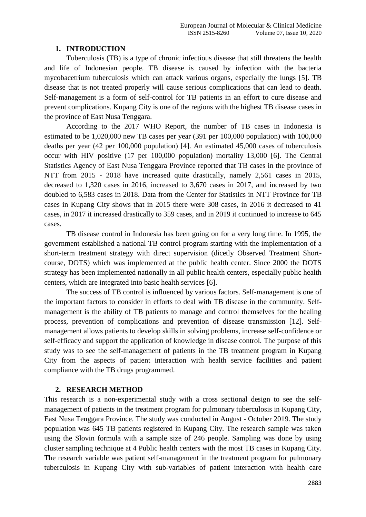#### **1. INTRODUCTION**

Tuberculosis (TB) is a type of chronic infectious disease that still threatens the health and life of Indonesian people. TB disease is caused by infection with the bacteria mycobacetrium tuberculosis which can attack various organs, especially the lungs [5]. TB disease that is not treated properly will cause serious complications that can lead to death. Self-management is a form of self-control for TB patients in an effort to cure disease and prevent complications. Kupang City is one of the regions with the highest TB disease cases in the province of East Nusa Tenggara.

According to the 2017 WHO Report, the number of TB cases in Indonesia is estimated to be 1,020,000 new TB cases per year (391 per 100,000 population) with 100,000 deaths per year (42 per 100,000 population) [4]. An estimated 45,000 cases of tuberculosis occur with HIV positive (17 per 100,000 population) mortality 13,000 [6]. The Central Statistics Agency of East Nusa Tenggara Province reported that TB cases in the province of NTT from 2015 - 2018 have increased quite drastically, namely 2,561 cases in 2015, decreased to 1,320 cases in 2016, increased to 3,670 cases in 2017, and increased by two doubled to 6,583 cases in 2018. Data from the Center for Statistics in NTT Province for TB cases in Kupang City shows that in 2015 there were 308 cases, in 2016 it decreased to 41 cases, in 2017 it increased drastically to 359 cases, and in 2019 it continued to increase to 645 cases.

TB disease control in Indonesia has been going on for a very long time. In 1995, the government established a national TB control program starting with the implementation of a short-term treatment strategy with direct supervision (dicetly Observed Treatment Shortcourse, DOTS) which was implemented at the public health center. Since 2000 the DOTS strategy has been implemented nationally in all public health centers, especially public health centers, which are integrated into basic health services [6].

The success of TB control is influenced by various factors. Self-management is one of the important factors to consider in efforts to deal with TB disease in the community. Selfmanagement is the ability of TB patients to manage and control themselves for the healing process, prevention of complications and prevention of disease transmission [12]. Selfmanagement allows patients to develop skills in solving problems, increase self-confidence or self-efficacy and support the application of knowledge in disease control. The purpose of this study was to see the self-management of patients in the TB treatment program in Kupang City from the aspects of patient interaction with health service facilities and patient compliance with the TB drugs programmed.

# **2. RESEARCH METHOD**

This research is a non-experimental study with a cross sectional design to see the selfmanagement of patients in the treatment program for pulmonary tuberculosis in Kupang City, East Nusa Tenggara Province. The study was conducted in August - October 2019. The study population was 645 TB patients registered in Kupang City. The research sample was taken using the Slovin formula with a sample size of 246 people. Sampling was done by using cluster sampling technique at 4 Public health centers with the most TB cases in Kupang City. The research variable was patient self-management in the treatment program for pulmonary tuberculosis in Kupang City with sub-variables of patient interaction with health care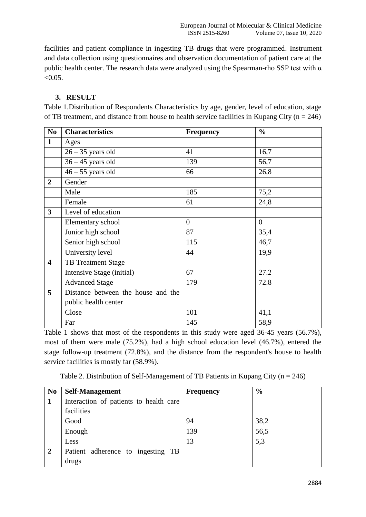facilities and patient compliance in ingesting TB drugs that were programmed. Instrument and data collection using questionnaires and observation documentation of patient care at the public health center. The research data were analyzed using the Spearman-rho SSP test with  $\alpha$  $< 0.05$ .

# **3. RESULT**

Table 1.Distribution of Respondents Characteristics by age, gender, level of education, stage of TB treatment, and distance from house to health service facilities in Kupang City ( $n = 246$ )

| N <sub>0</sub>          | <b>Characteristics</b>             | <b>Frequency</b> | $\frac{0}{0}$    |
|-------------------------|------------------------------------|------------------|------------------|
| $\mathbf{1}$            | Ages                               |                  |                  |
|                         | $26 - 35$ years old                | 41               | 16,7             |
|                         | $36 - 45$ years old                | 139              | 56,7             |
|                         | $46 - 55$ years old                | 66               | 26,8             |
| $\overline{2}$          | Gender                             |                  |                  |
|                         | Male                               | 185              | 75,2             |
|                         | Female                             | 61               | 24,8             |
| $\overline{\mathbf{3}}$ | Level of education                 |                  |                  |
|                         | Elementary school                  | $\overline{0}$   | $\boldsymbol{0}$ |
|                         | Junior high school                 | 87               | 35,4             |
|                         | Senior high school                 | 115              | 46,7             |
|                         | University level                   | 44               | 19,9             |
| $\overline{\mathbf{4}}$ | <b>TB</b> Treatment Stage          |                  |                  |
|                         | Intensive Stage (initial)          | 67               | 27.2             |
|                         | <b>Advanced Stage</b>              | 179              | 72.8             |
| 5                       | Distance between the house and the |                  |                  |
|                         | public health center               |                  |                  |
|                         | Close                              | 101              | 41,1             |
|                         | Far                                | 145              | 58,9             |

Table 1 shows that most of the respondents in this study were aged 36-45 years (56.7%), most of them were male (75.2%), had a high school education level (46.7%), entered the stage follow-up treatment (72.8%), and the distance from the respondent's house to health service facilities is mostly far (58.9%).

Table 2. Distribution of Self-Management of TB Patients in Kupang City (n = 246)

| N <sub>0</sub> | <b>Self-Management</b>                 | <b>Frequency</b> | $\frac{0}{0}$ |
|----------------|----------------------------------------|------------------|---------------|
| $\mathbf 1$    | Interaction of patients to health care |                  |               |
|                | facilities                             |                  |               |
|                | Good                                   | 94               | 38,2          |
|                | Enough                                 | 139              | 56,5          |
|                | Less                                   | 13               | 5,3           |
| $\overline{2}$ | Patient adherence to ingesting TB      |                  |               |
|                | drugs                                  |                  |               |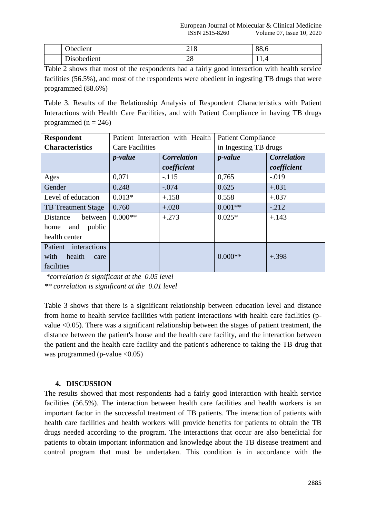| $\sim$<br>$\rightarrow$<br>Obedient      | $\bigcap$ 1.0<br>$\sim$ 1 $\circ$ | $\Omega$<br>00.0 |
|------------------------------------------|-----------------------------------|------------------|
| $\mathbf{r}$<br>$\bullet$<br>Disobedient | $\cap$ C<br>$\angle$ 0            | .                |

Table 2 shows that most of the respondents had a fairly good interaction with health service facilities (56.5%), and most of the respondents were obedient in ingesting TB drugs that were programmed (88.6%)

Table 3. Results of the Relationship Analysis of Respondent Characteristics with Patient Interactions with Health Care Facilities, and with Patient Compliance in having TB drugs programmed ( $n = 246$ )

| <b>Respondent</b>                                                 | Patient Interaction with Health |                                   | <b>Patient Compliance</b> |                                   |
|-------------------------------------------------------------------|---------------------------------|-----------------------------------|---------------------------|-----------------------------------|
| <b>Characteristics</b>                                            | <b>Care Facilities</b>          |                                   | in Ingesting TB drugs     |                                   |
|                                                                   | <i>p</i> -value                 | <b>Correlation</b><br>coefficient | <i>p</i> -value           | <b>Correlation</b><br>coefficient |
| Ages                                                              | 0,071                           | $-.115$                           | 0,765                     | $-.019$                           |
| Gender                                                            | 0.248                           | $-.074$                           | 0.625                     | $+.031$                           |
| Level of education                                                | $0.013*$                        | $+.158$                           | 0.558                     | $+.037$                           |
| <b>TB</b> Treatment Stage                                         | 0.760                           | $+.020$                           | $0.001**$                 | $-.212$                           |
| <b>Distance</b><br>between<br>and public<br>home<br>health center | $0.000**$                       | $+.273$                           | $0.025*$                  | $+.143$                           |
| Patient interactions<br>with<br>health<br>care<br>facilities      |                                 |                                   | $0.000**$                 | $+.398$                           |

*\*correlation is significant at the 0.05 level \*\* correlation is significant at the 0.01 level*

Table 3 shows that there is a significant relationship between education level and distance from home to health service facilities with patient interactions with health care facilities (pvalue <0.05). There was a significant relationship between the stages of patient treatment, the distance between the patient's house and the health care facility, and the interaction between the patient and the health care facility and the patient's adherence to taking the TB drug that was programmed (p-value  $\langle 0.05 \rangle$ 

# **4. DISCUSSION**

The results showed that most respondents had a fairly good interaction with health service facilities (56.5%). The interaction between health care facilities and health workers is an important factor in the successful treatment of TB patients. The interaction of patients with health care facilities and health workers will provide benefits for patients to obtain the TB drugs needed according to the program. The interactions that occur are also beneficial for patients to obtain important information and knowledge about the TB disease treatment and control program that must be undertaken. This condition is in accordance with the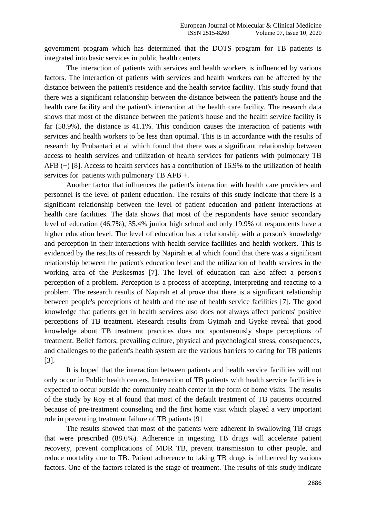government program which has determined that the DOTS program for TB patients is integrated into basic services in public health centers.

The interaction of patients with services and health workers is influenced by various factors. The interaction of patients with services and health workers can be affected by the distance between the patient's residence and the health service facility. This study found that there was a significant relationship between the distance between the patient's house and the health care facility and the patient's interaction at the health care facility. The research data shows that most of the distance between the patient's house and the health service facility is far (58.9%), the distance is 41.1%. This condition causes the interaction of patients with services and health workers to be less than optimal. This is in accordance with the results of research by Prubantari et al which found that there was a significant relationship between access to health services and utilization of health services for patients with pulmonary TB AFB (+) [8]. Access to health services has a contribution of 16.9% to the utilization of health services for patients with pulmonary TB AFB +.

Another factor that influences the patient's interaction with health care providers and personnel is the level of patient education. The results of this study indicate that there is a significant relationship between the level of patient education and patient interactions at health care facilities. The data shows that most of the respondents have senior secondary level of education (46.7%), 35.4% junior high school and only 19.9% of respondents have a higher education level. The level of education has a relationship with a person's knowledge and perception in their interactions with health service facilities and health workers. This is evidenced by the results of research by Napirah et al which found that there was a significant relationship between the patient's education level and the utilization of health services in the working area of the Puskesmas [7]. The level of education can also affect a person's perception of a problem. Perception is a process of accepting, interpreting and reacting to a problem. The research results of Napirah et al prove that there is a significant relationship between people's perceptions of health and the use of health service facilities [7]. The good knowledge that patients get in health services also does not always affect patients' positive perceptions of TB treatment. Research results from Gyimah and Gyeke reveal that good knowledge about TB treatment practices does not spontaneously shape perceptions of treatment. Belief factors, prevailing culture, physical and psychological stress, consequences, and challenges to the patient's health system are the various barriers to caring for TB patients [3].

It is hoped that the interaction between patients and health service facilities will not only occur in Public health centers. Interaction of TB patients with health service facilities is expected to occur outside the community health center in the form of home visits. The results of the study by Roy et al found that most of the default treatment of TB patients occurred because of pre-treatment counseling and the first home visit which played a very important role in preventing treatment failure of TB patients [9]

The results showed that most of the patients were adherent in swallowing TB drugs that were prescribed (88.6%). Adherence in ingesting TB drugs will accelerate patient recovery, prevent complications of MDR TB, prevent transmission to other people, and reduce mortality due to TB. Patient adherence to taking TB drugs is influenced by various factors. One of the factors related is the stage of treatment. The results of this study indicate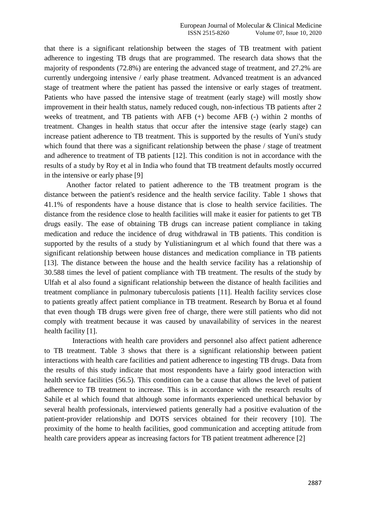that there is a significant relationship between the stages of TB treatment with patient adherence to ingesting TB drugs that are programmed. The research data shows that the majority of respondents (72.8%) are entering the advanced stage of treatment, and 27.2% are currently undergoing intensive / early phase treatment. Advanced treatment is an advanced stage of treatment where the patient has passed the intensive or early stages of treatment. Patients who have passed the intensive stage of treatment (early stage) will mostly show improvement in their health status, namely reduced cough, non-infectious TB patients after 2 weeks of treatment, and TB patients with AFB (+) become AFB (-) within 2 months of treatment. Changes in health status that occur after the intensive stage (early stage) can increase patient adherence to TB treatment. This is supported by the results of Yuni's study which found that there was a significant relationship between the phase / stage of treatment and adherence to treatment of TB patients [12]. This condition is not in accordance with the results of a study by Roy et al in India who found that TB treatment defaults mostly occurred in the intensive or early phase [9]

Another factor related to patient adherence to the TB treatment program is the distance between the patient's residence and the health service facility. Table 1 shows that 41.1% of respondents have a house distance that is close to health service facilities. The distance from the residence close to health facilities will make it easier for patients to get TB drugs easily. The ease of obtaining TB drugs can increase patient compliance in taking medication and reduce the incidence of drug withdrawal in TB patients. This condition is supported by the results of a study by Yulistianingrum et al which found that there was a significant relationship between house distances and medication compliance in TB patients [13]. The distance between the house and the health service facility has a relationship of 30.588 times the level of patient compliance with TB treatment. The results of the study by Ulfah et al also found a significant relationship between the distance of health facilities and treatment compliance in pulmonary tuberculosis patients [11]. Health facility services close to patients greatly affect patient compliance in TB treatment. Research by Borua et al found that even though TB drugs were given free of charge, there were still patients who did not comply with treatment because it was caused by unavailability of services in the nearest health facility [1].

Interactions with health care providers and personnel also affect patient adherence to TB treatment. Table 3 shows that there is a significant relationship between patient interactions with health care facilities and patient adherence to ingesting TB drugs. Data from the results of this study indicate that most respondents have a fairly good interaction with health service facilities (56.5). This condition can be a cause that allows the level of patient adherence to TB treatment to increase. This is in accordance with the research results of Sahile et al which found that although some informants experienced unethical behavior by several health professionals, interviewed patients generally had a positive evaluation of the patient-provider relationship and DOTS services obtained for their recovery [10]. The proximity of the home to health facilities, good communication and accepting attitude from health care providers appear as increasing factors for TB patient treatment adherence [2]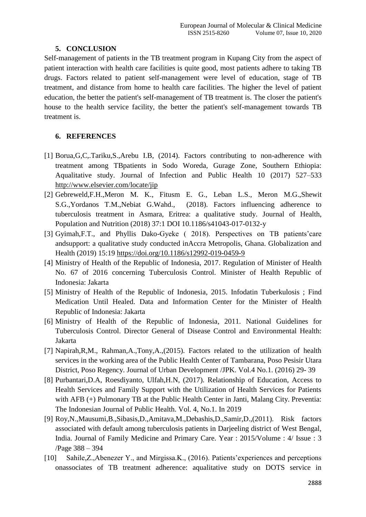## **5. CONCLUSION**

Self-management of patients in the TB treatment program in Kupang City from the aspect of patient interaction with health care facilities is quite good, most patients adhere to taking TB drugs. Factors related to patient self-management were level of education, stage of TB treatment, and distance from home to health care facilities. The higher the level of patient education, the better the patient's self-management of TB treatment is. The closer the patient's house to the health service facility, the better the patient's self-management towards TB treatment is.

# **6. REFERENCES**

- [1] Borua,G,C,.Tariku,S.,Arebu I.B, (2014). Factors contributing to non-adherence with treatment among TBpatients in Sodo Woreda, Gurage Zone, Southern Ethiopia: Aqualitative study. Journal of Infection and Public Health 10 (2017) 527–533 <http://www.elsevier.com/locate/jip>
- [2] [Gebreweld,](https://www.ncbi.nlm.nih.gov/pubmed/?term=Gebreweld%20FH%5BAuthor%5D&cauthor=true&cauthor_uid=29304840)F.H.,Meron M. K., [Fitusm E. G.,](https://www.ncbi.nlm.nih.gov/pubmed/?term=Gebremicheal%20FE%5BAuthor%5D&cauthor=true&cauthor_uid=29304840) [Leban L.S.,](https://www.ncbi.nlm.nih.gov/pubmed/?term=Simel%20LL%5BAuthor%5D&cauthor=true&cauthor_uid=29304840) [Meron M.G.,Shewit](https://www.ncbi.nlm.nih.gov/pubmed/?term=Gezae%20MM%5BAuthor%5D&cauthor=true&cauthor_uid=29304840)  [S.G.,Yordanos T.M.](https://www.ncbi.nlm.nih.gov/pubmed/?term=Ghebreyesus%20SS%5BAuthor%5D&cauthor=true&cauthor_uid=29304840)[,Nebiat G.Wahd.](https://www.ncbi.nlm.nih.gov/pubmed/?term=Wahd%20NG%5BAuthor%5D&cauthor=true&cauthor_uid=29304840), (2018). Factors influencing adherence to tuberculosis treatment in Asmara, Eritrea: a qualitative study. Journal of Health, Population and Nutrition (2018) 37:1 DOI 10.1186/s41043-017-0132-y
- [3] Gyimah,F.T., and Phyllis Dako-Gyeke ( 2018). Perspectives on TB patients'care andsupport: a qualitative study conducted inAccra Metropolis, Ghana. Globalization and Health (2019) 15:19<https://doi.org/10.1186/s12992-019-0459-9>
- [4] Ministry of Health of the Republic of Indonesia, 2017. Regulation of Minister of Health No. 67 of 2016 concerning Tuberculosis Control. Minister of Health Republic of Indonesia: Jakarta
- [5] Ministry of Health of the Republic of Indonesia, 2015. Infodatin Tuberkulosis ; Find Medication Until Healed. Data and Information Center for the Minister of Health Republic of Indonesia: Jakarta
- [6] Ministry of Health of the Republic of Indonesia, 2011. National Guidelines for Tuberculosis Control. Director General of Disease Control and Environmental Health: Jakarta
- [7] Napirah,R,M., Rahman,A.,Tony,A.,(2015). Factors related to the utilization of health services in the working area of the Public Health Center of Tambarana, Poso Pesisir Utara District, Poso Regency. Journal of Urban Development /JPK. Vol.4 No.1. (2016) 29- 39
- [8] Purbantari,D.A, Roesdiyanto, Ulfah,H.N, (2017). Relationship of Education, Access to Health Services and Family Support with the Utilization of Health Services for Patients with AFB (+) Pulmonary TB at the Public Health Center in Janti, Malang City. Preventia: The Indonesian Journal of Public Health. Vol. 4, No.1. In 2019
- [9] Roy,N.,Mausumi,B.,Sibasis,D.,Amitava,M.,Debashis,D.,Samir,D.,(2011). Risk factors associated with default among tuberculosis patients in Darjeeling district of West Bengal, India. Journal of Family Medicine and Primary Care. Year : 2015/Volume : 4/ Issue : 3 /Page 388 – 394
- [10] Sahile,Z.,Abenezer Y., and Mirgissa.K., (2016). Patients'experiences and perceptions onassociates of TB treatment adherence: aqualitative study on DOTS service in